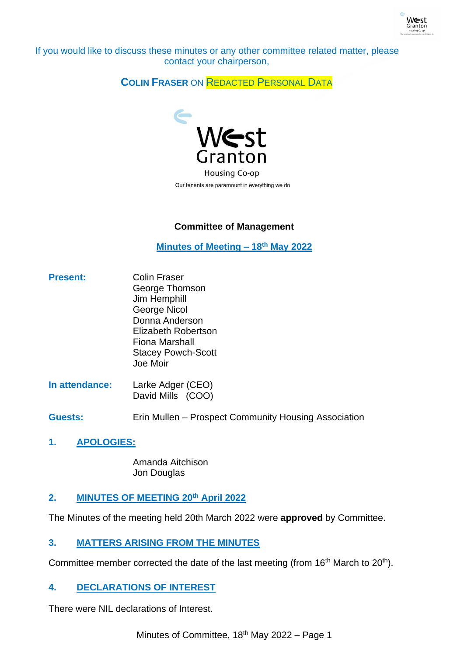

If you would like to discuss these minutes or any other committee related matter, please contact your chairperson,

# **COLIN FRASER** ON REDACTED PERSONAL DATA



Our tenants are paramount in everything we do

## **Committee of Management**

**Minutes of Meeting – 18th May 2022**

- **Present:** Colin Fraser George Thomson Jim Hemphill George Nicol Donna Anderson Elizabeth Robertson Fiona Marshall Stacey Powch-Scott Joe Moir
- **In attendance:** Larke Adger (CEO) David Mills (COO)

**Guests:** Erin Mullen – Prospect Community Housing Association

**1. APOLOGIES:**

Amanda Aitchison Jon Douglas

## **2. MINUTES OF MEETING 20th April 2022**

The Minutes of the meeting held 20th March 2022 were **approved** by Committee.

## **3. MATTERS ARISING FROM THE MINUTES**

Committee member corrected the date of the last meeting (from 16<sup>th</sup> March to 20<sup>th</sup>).

## **4. DECLARATIONS OF INTEREST**

There were NIL declarations of Interest.

Minutes of Committee, 18<sup>th</sup> May 2022 – Page 1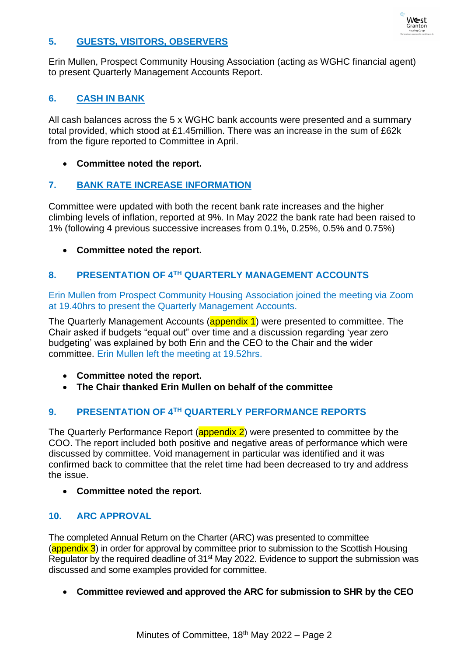

#### **5. GUESTS, VISITORS, OBSERVERS**

Erin Mullen, Prospect Community Housing Association (acting as WGHC financial agent) to present Quarterly Management Accounts Report.

#### **6. CASH IN BANK**

All cash balances across the 5 x WGHC bank accounts were presented and a summary total provided, which stood at £1.45million. There was an increase in the sum of £62k from the figure reported to Committee in April.

#### • **Committee noted the report.**

#### **7. BANK RATE INCREASE INFORMATION**

Committee were updated with both the recent bank rate increases and the higher climbing levels of inflation, reported at 9%. In May 2022 the bank rate had been raised to 1% (following 4 previous successive increases from 0.1%, 0.25%, 0.5% and 0.75%)

• **Committee noted the report.**

#### **8. PRESENTATION OF 4TH QUARTERLY MANAGEMENT ACCOUNTS**

Erin Mullen from Prospect Community Housing Association joined the meeting via Zoom at 19.40hrs to present the Quarterly Management Accounts.

The Quarterly Management Accounts (appendix 1) were presented to committee. The Chair asked if budgets "equal out" over time and a discussion regarding 'year zero budgeting' was explained by both Erin and the CEO to the Chair and the wider committee. Erin Mullen left the meeting at 19.52hrs.

- **Committee noted the report.**
- **The Chair thanked Erin Mullen on behalf of the committee**

## **9. PRESENTATION OF 4TH QUARTERLY PERFORMANCE REPORTS**

The Quarterly Performance Report (**appendix 2**) were presented to committee by the COO. The report included both positive and negative areas of performance which were discussed by committee. Void management in particular was identified and it was confirmed back to committee that the relet time had been decreased to try and address the issue.

• **Committee noted the report.**

#### **10. ARC APPROVAL**

The completed Annual Return on the Charter (ARC) was presented to committee  $\frac{1}{2}$  (appendix 3) in order for approval by committee prior to submission to the Scottish Housing Regulator by the required deadline of 31st May 2022. Evidence to support the submission was discussed and some examples provided for committee.

• **Committee reviewed and approved the ARC for submission to SHR by the CEO**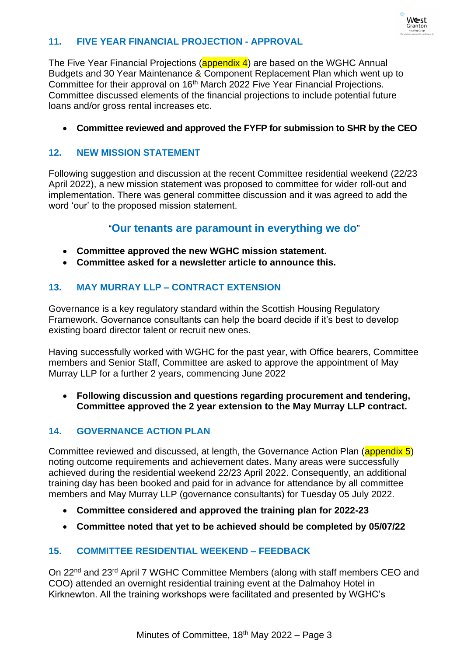

#### **11. FIVE YEAR FINANCIAL PROJECTION - APPROVAL**

The Five Year Financial Projections (**appendix 4**) are based on the WGHC Annual Budgets and 30 Year Maintenance & Component Replacement Plan which went up to Committee for their approval on 16th March 2022 Five Year Financial Projections. Committee discussed elements of the financial projections to include potential future loans and/or gross rental increases etc.

• **Committee reviewed and approved the FYFP for submission to SHR by the CEO**

#### **12. NEW MISSION STATEMENT**

Following suggestion and discussion at the recent Committee residential weekend (22/23 April 2022), a new mission statement was proposed to committee for wider roll-out and implementation. There was general committee discussion and it was agreed to add the word 'our' to the proposed mission statement.

## "**Our tenants are paramount in everything we do**"

- **Committee approved the new WGHC mission statement.**
- **Committee asked for a newsletter article to announce this.**

#### **13. MAY MURRAY LLP – CONTRACT EXTENSION**

Governance is a key regulatory standard within the Scottish Housing Regulatory Framework. Governance consultants can help the board decide if it's best to develop existing board director talent or recruit new ones.

Having successfully worked with WGHC for the past year, with Office bearers, Committee members and Senior Staff, Committee are asked to approve the appointment of May Murray LLP for a further 2 years, commencing June 2022

• **Following discussion and questions regarding procurement and tendering, Committee approved the 2 year extension to the May Murray LLP contract.** 

#### **14. GOVERNANCE ACTION PLAN**

Committee reviewed and discussed, at length, the Governance Action Plan (appendix 5) noting outcome requirements and achievement dates. Many areas were successfully achieved during the residential weekend 22/23 April 2022. Consequently, an additional training day has been booked and paid for in advance for attendance by all committee members and May Murray LLP (governance consultants) for Tuesday 05 July 2022.

- **Committee considered and approved the training plan for 2022-23**
- **Committee noted that yet to be achieved should be completed by 05/07/22**

#### **15. COMMITTEE RESIDENTIAL WEEKEND – FEEDBACK**

On 22nd and 23rd April 7 WGHC Committee Members (along with staff members CEO and COO) attended an overnight residential training event at the Dalmahoy Hotel in Kirknewton. All the training workshops were facilitated and presented by WGHC's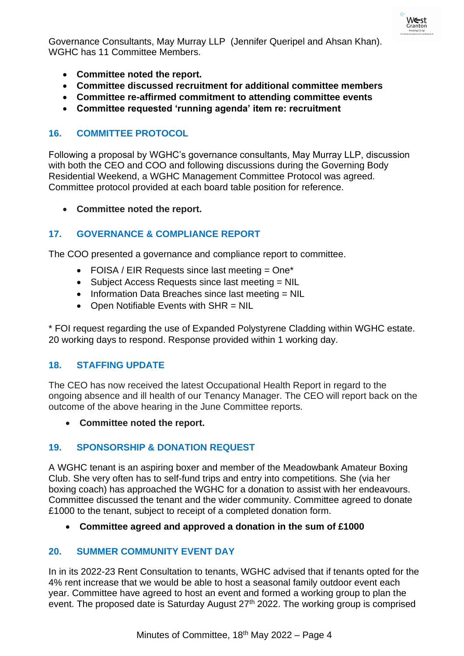

Governance Consultants, May Murray LLP (Jennifer Queripel and Ahsan Khan). WGHC has 11 Committee Members.

- **Committee noted the report.**
- **Committee discussed recruitment for additional committee members**
- **Committee re-affirmed commitment to attending committee events**
- **Committee requested 'running agenda' item re: recruitment**

# **16. COMMITTEE PROTOCOL**

Following a proposal by WGHC's governance consultants, May Murray LLP, discussion with both the CEO and COO and following discussions during the Governing Body Residential Weekend, a WGHC Management Committee Protocol was agreed. Committee protocol provided at each board table position for reference.

• **Committee noted the report.**

# **17. GOVERNANCE & COMPLIANCE REPORT**

The COO presented a governance and compliance report to committee.

- FOISA / EIR Requests since last meeting  $=$  One\*
- Subject Access Requests since last meeting = NIL
- Information Data Breaches since last meeting = NIL
- Open Notifiable Events with SHR = NIL

\* FOI request regarding the use of Expanded Polystyrene Cladding within WGHC estate. 20 working days to respond. Response provided within 1 working day.

## **18. STAFFING UPDATE**

The CEO has now received the latest Occupational Health Report in regard to the ongoing absence and ill health of our Tenancy Manager. The CEO will report back on the outcome of the above hearing in the June Committee reports.

• **Committee noted the report.**

## **19. SPONSORSHIP & DONATION REQUEST**

A WGHC tenant is an aspiring boxer and member of the Meadowbank Amateur Boxing Club. She very often has to self-fund trips and entry into competitions. She (via her boxing coach) has approached the WGHC for a donation to assist with her endeavours. Committee discussed the tenant and the wider community. Committee agreed to donate £1000 to the tenant, subject to receipt of a completed donation form.

• **Committee agreed and approved a donation in the sum of £1000**

## **20. SUMMER COMMUNITY EVENT DAY**

In in its 2022-23 Rent Consultation to tenants, WGHC advised that if tenants opted for the 4% rent increase that we would be able to host a seasonal family outdoor event each year. Committee have agreed to host an event and formed a working group to plan the event. The proposed date is Saturday August 27<sup>th</sup> 2022. The working group is comprised